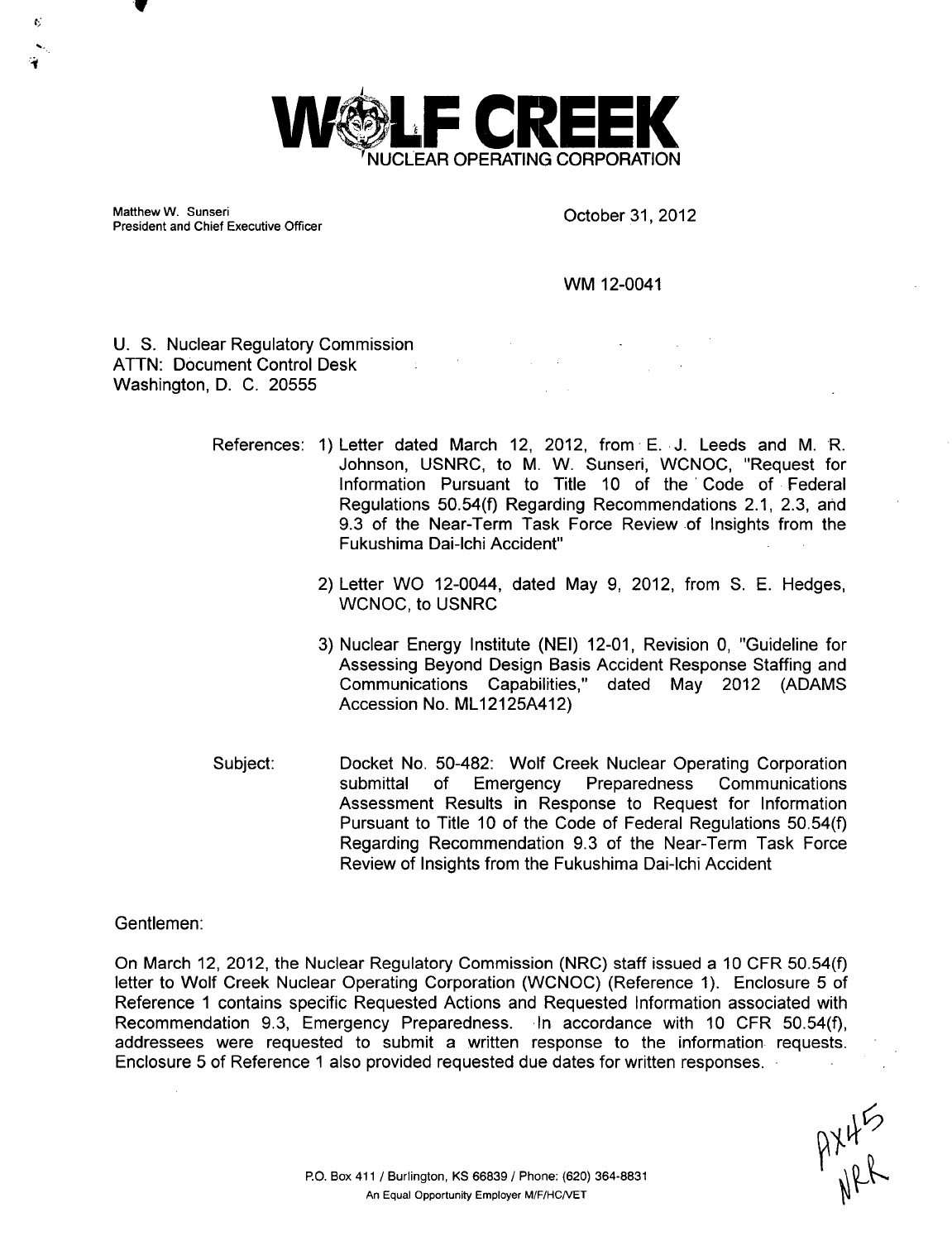

Matthew W. Sunseri Charles Contact Contact Contact Contact October 31, 2012 President and Chief Executive Officer

**V**

K.

WM 12-0041

U. S. Nuclear Regulatory Commission ATTN: Document Control Desk  $\sim 10^6$ Washington, D. C. 20555

- References: 1) Letter dated March 12, 2012, from E. J. Leeds and M. R. Johnson, USNRC, to M. W. Sunseri, WCNOC, "Request for Information Pursuant to Title 10 of the Code of Federal Regulations 50.54(f) Regarding Recommendations 2.1, 2.3, and 9.3 of the Near-Term Task Force Review of Insights from the Fukushima Dai-lchi Accident"
	- 2) Letter WO 12-0044, dated May 9, 2012, from S. E. Hedges, WCNOC, to USNRC
	- 3) Nuclear Energy Institute (NEI) 12-01, Revision 0, "Guideline for Assessing Beyond Design Basis Accident Response Staffing and Communications Capabilities," dated May 2012 (ADAMS Accession No. ML12125A412)
- Subject: Docket No. 50-482: Wolf Creek Nuclear Operating Corporation submittal of Emergency Preparedness Communications Assessment Results in Response to Request for Information Pursuant to Title 10 of the Code of Federal Regulations 50.54(f) Regarding Recommendation 9.3 of the Near-Term Task Force Review of Insights from the Fukushima Dai-lchi Accident

Gentlemen:

On March 12, 2012, the Nuclear Regulatory Commission (NRC) staff issued a 10 CFR 50.54(f) letter to Wolf Creek Nuclear Operating Corporation (WCNOC) (Reference 1). Enclosure 5 of Reference 1 contains specific Requested Actions and Requested Information associated with Recommendation 9.3, Emergency Preparedness. In accordance with 10 CFR 50.54(f), addressees were requested to submit a written response to the information requests. Enclosure 5 of Reference 1 also provided requested due dates for written responses.

 $P^{\chi\downarrow\zeta}_{\mu\rho\lambda}$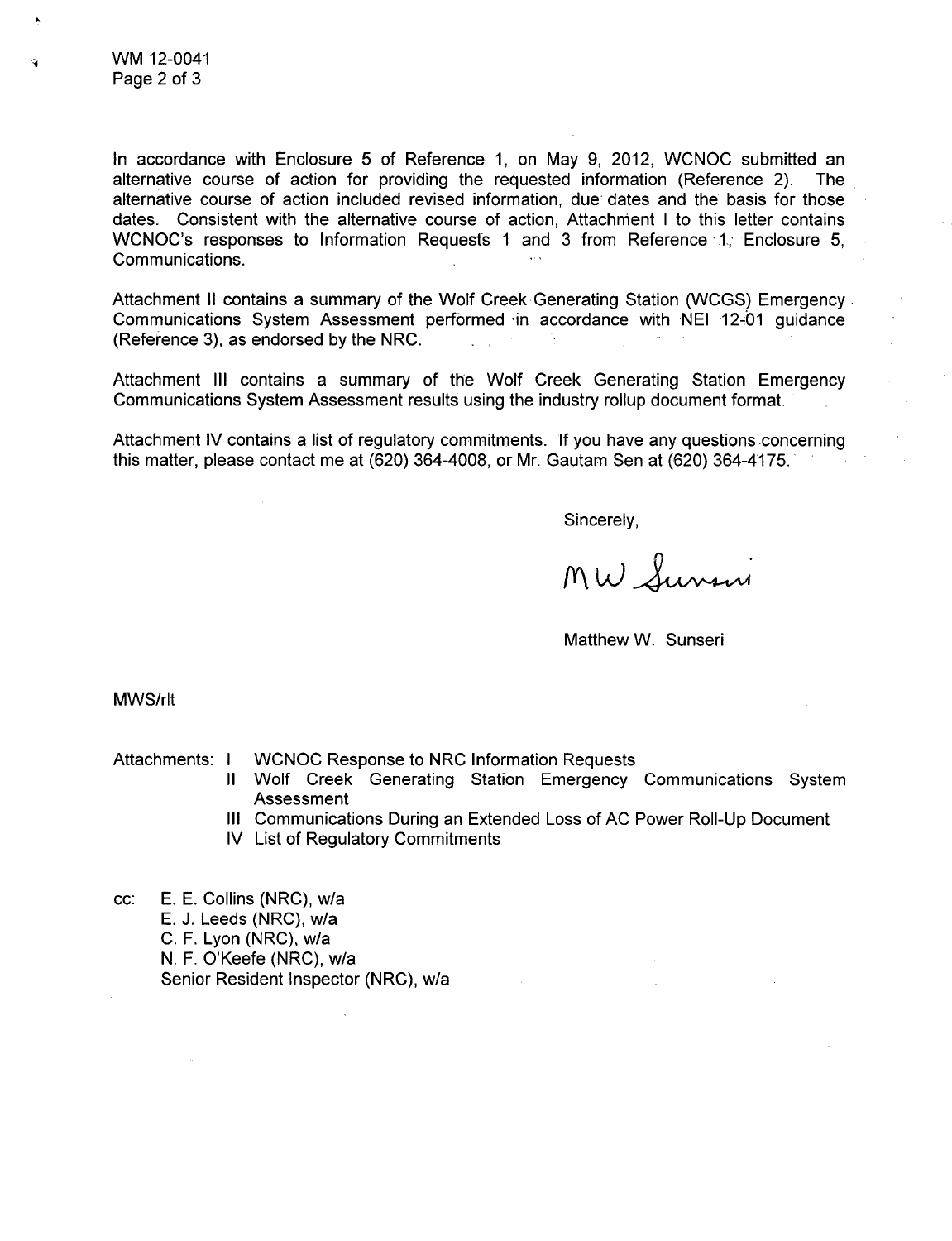WM 12-0041 Page 2 of 3

In accordance with Enclosure 5 of Reference 1, on May 9, 2012, WCNOC submitted an alternative course of action for providing the requested information (Reference 2). The alternative course of action included revised information, due dates and the basis for those dates. Consistent with the alternative course of action, Attachment I to this letter contains WCNOC's responses to Information Requests 1 and 3 from Reference 1, Enclosure 5, Communications.

Attachment II contains a summary of the Wolf Creek Generating Station (WCGS) Emergency Communications System Assessment performed in accordance with NEI 12-01 guidance (Reference 3), as endorsed by the NRC.

Attachment **III** contains a summary of the Wolf Creek Generating Station Emergency Communications System Assessment results using the industry rollup document format.

Attachment IV contains a list of regulatory commitments. If you have any questions concerning this matter, please contact me at (620) 364-4008, or.Mr. Gautam Sen at (620) 364-4175.

Sincerely,

MW Sunsui

Matthew W. Sunseri

MWS/rlt

- Attachments: I WCNOC Response to NRC Information Requests
	- Wolf Creek Generating Station Emergency Communications System Assessment
	- Communications During an Extended Loss of AC Power Roll-Up Document **III**
	- IV List of Regulatory Commitments

cc: E. E. Collins (NRC), w/a E. J. Leeds (NRC), w/a C. F. Lyon (NRC), w/a N. F. O'Keefe (NRC), w/a Senior Resident Inspector (NRC), w/a